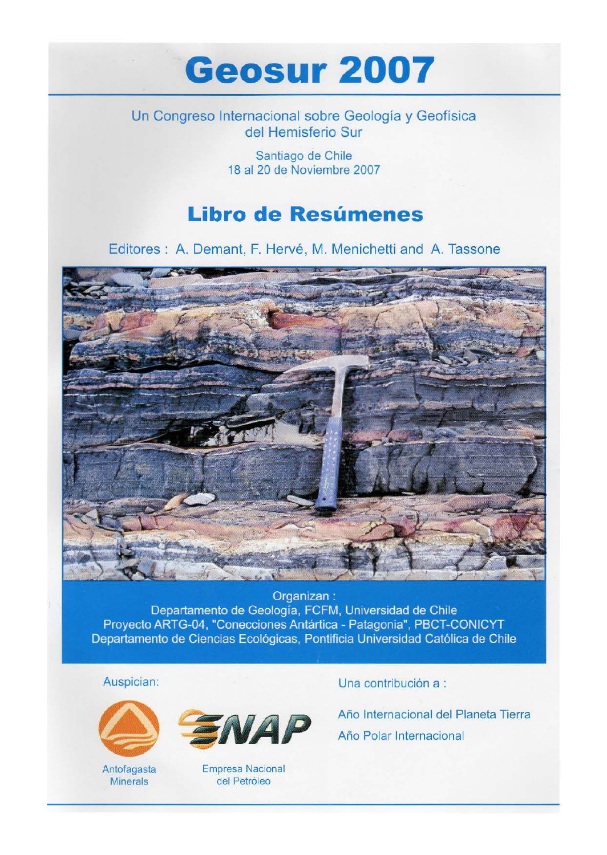## **Geosur2007**

Un Congreso Internacional sobre Geologia y Geofisica del Hemisferio Sur

> Santiago de Chile 18 al 20 de Noviembre 2007

## **Libro de Resumenes**

Editores : A. Demant, F. Hervé, M. Menichetti and A. Tassone



Organizan: Departamento de Geología, FCFM, Universidad de Chile Proyecto ARTG-04, "Conecciones Antártica - Patagonia", PBCT-CONICYT Departamento de Ciencias Ecológicas, Pontificia Universidad Católica de Chile

Auspician:



Antofagasta **Minerals** 



Empresa Nacional del Petróleo

Una contribución a :

Año Internacional del Planeta Tierra Año Polar Internacional